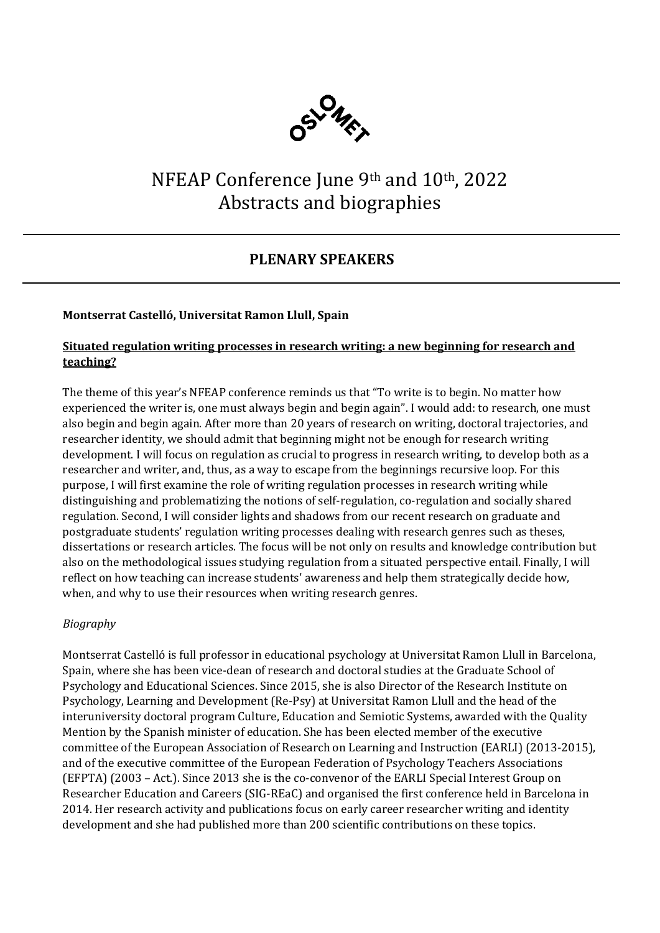

# NFEAP Conference June 9th and 10th, 2022 Abstracts and biographies

# **PLENARY SPEAKERS**

### **Montserrat Castelló, Universitat Ramon Llull, Spain**

### **Situated regulation writing processes in research writing: a new beginning for research and teaching?**

The theme of this year's NFEAP conference reminds us that "To write is to begin. No matter how experienced the writer is, one must always begin and begin again". I would add: to research, one must also begin and begin again. After more than 20 years of research on writing, doctoral trajectories, and researcher identity, we should admit that beginning might not be enough for research writing development. I will focus on regulation as crucial to progress in research writing, to develop both as a researcher and writer, and, thus, as a way to escape from the beginnings recursive loop. For this purpose, I will first examine the role of writing regulation processes in research writing while distinguishing and problematizing the notions of self-regulation, co-regulation and socially shared regulation. Second, I will consider lights and shadows from our recent research on graduate and postgraduate students' regulation writing processes dealing with research genres such as theses, dissertations or research articles. The focus will be not only on results and knowledge contribution but also on the methodological issues studying regulation from a situated perspective entail. Finally, I will reflect on how teaching can increase students' awareness and help them strategically decide how, when, and why to use their resources when writing research genres.

### *Biography*

Montserrat Castelló is full professor in educational psychology at Universitat Ramon Llull in Barcelona, Spain, where she has been vice-dean of research and doctoral studies at the Graduate School of Psychology and Educational Sciences. Since 2015, she is also Director of the Research Institute on Psychology, Learning and Development (Re-Psy) at Universitat Ramon Llull and the head of the interuniversity doctoral program Culture, Education and Semiotic Systems, awarded with the Quality Mention by the Spanish minister of education. She has been elected member of the executive committee of the European Association of Research on Learning and Instruction (EARLI) (2013-2015), and of the executive committee of the European Federation of Psychology Teachers Associations (EFPTA) (2003 – Act.). Since 2013 she is the co-convenor of the EARLI Special Interest Group on Researcher Education and Careers (SIG-REaC) and organised the first conference held in Barcelona in 2014. Her research activity and publications focus on early career researcher writing and identity development and she had published more than 200 scientific contributions on these topics.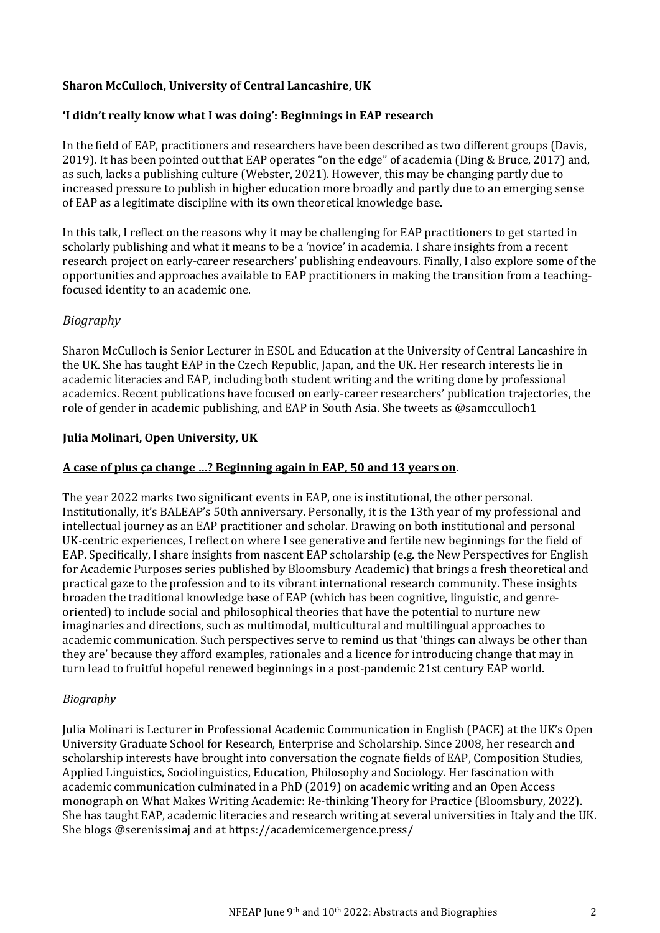### **Sharon McCulloch, University of Central Lancashire, UK**

#### **'I didn't really know what I was doing': Beginnings in EAP research**

In the field of EAP, practitioners and researchers have been described as two different groups (Davis, 2019). It has been pointed out that EAP operates "on the edge" of academia (Ding & Bruce, 2017) and, as such, lacks a publishing culture (Webster, 2021). However, this may be changing partly due to increased pressure to publish in higher education more broadly and partly due to an emerging sense of EAP as a legitimate discipline with its own theoretical knowledge base.

In this talk, I reflect on the reasons why it may be challenging for EAP practitioners to get started in scholarly publishing and what it means to be a 'novice' in academia. I share insights from a recent research project on early-career researchers' publishing endeavours. Finally, I also explore some of the opportunities and approaches available to EAP practitioners in making the transition from a teachingfocused identity to an academic one.

### *Biography*

Sharon McCulloch is Senior Lecturer in ESOL and Education at the University of Central Lancashire in the UK. She has taught EAP in the Czech Republic, Japan, and the UK. Her research interests lie in academic literacies and EAP, including both student writing and the writing done by professional academics. Recent publications have focused on early-career researchers' publication trajectories, the role of gender in academic publishing, and EAP in South Asia. She tweets as @samcculloch1

### **Julia Molinari, Open University, UK**

#### **A case of plus ça change …? Beginning again in EAP, 50 and 13 years on.**

The year 2022 marks two significant events in EAP, one is institutional, the other personal. Institutionally, it's BALEAP's 50th anniversary. Personally, it is the 13th year of my professional and intellectual journey as an EAP practitioner and scholar. Drawing on both institutional and personal UK-centric experiences, I reflect on where I see generative and fertile new beginnings for the field of EAP. Specifically, I share insights from nascent EAP scholarship (e.g. the New Perspectives for English for Academic Purposes series published by Bloomsbury Academic) that brings a fresh theoretical and practical gaze to the profession and to its vibrant international research community. These insights broaden the traditional knowledge base of EAP (which has been cognitive, linguistic, and genreoriented) to include social and philosophical theories that have the potential to nurture new imaginaries and directions, such as multimodal, multicultural and multilingual approaches to academic communication. Such perspectives serve to remind us that 'things can always be other than they are' because they afford examples, rationales and a licence for introducing change that may in turn lead to fruitful hopeful renewed beginnings in a post-pandemic 21st century EAP world.

### *Biography*

Julia Molinari is Lecturer in Professional Academic Communication in English (PACE) at the UK's Open University Graduate School for Research, Enterprise and Scholarship. Since 2008, her research and scholarship interests have brought into conversation the cognate fields of EAP, Composition Studies, Applied Linguistics, Sociolinguistics, Education, Philosophy and Sociology. Her fascination with academic communication culminated in a PhD (2019) on academic writing and an Open Access monograph on What Makes Writing Academic: Re-thinking Theory for Practice (Bloomsbury, 2022). She has taught EAP, academic literacies and research writing at several universities in Italy and the UK. She blogs @serenissimaj and at https://academicemergence.press/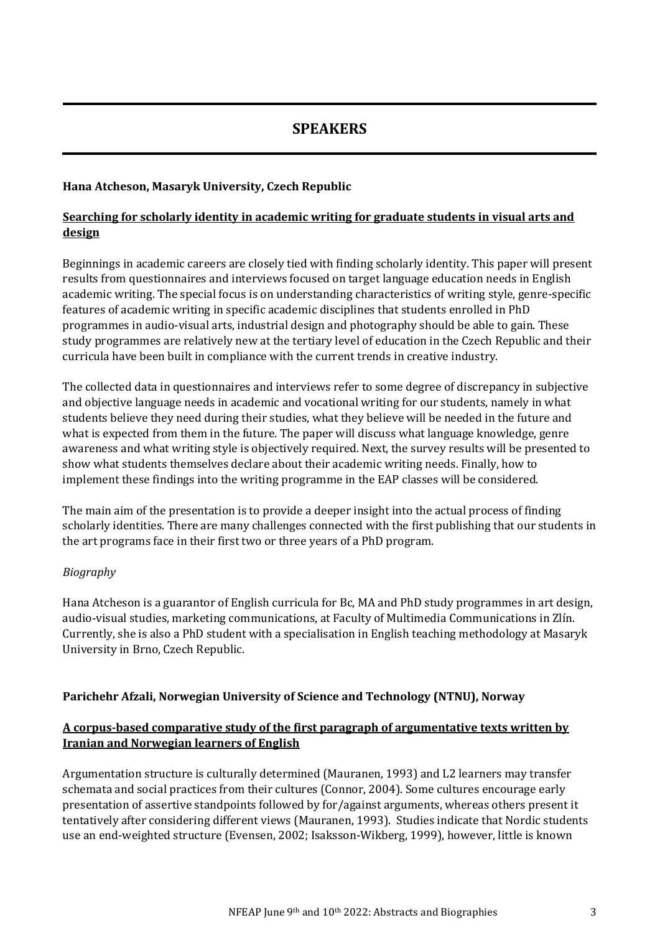## **SPEAKERS**

### **Hana Atcheson, Masaryk University, Czech Republic**

### **Searching for scholarly identity in academic writing for graduate students in visual arts and design**

Beginnings in academic careers are closely tied with finding scholarly identity. This paper will present results from questionnaires and interviews focused on target language education needs in English academic writing. The special focus is on understanding characteristics of writing style, genre-specific features of academic writing in specific academic disciplines that students enrolled in PhD programmes in audio-visual arts, industrial design and photography should be able to gain. These study programmes are relatively new at the tertiary level of education in the Czech Republic and their curricula have been built in compliance with the current trends in creative industry.

The collected data in questionnaires and interviews refer to some degree of discrepancy in subjective and objective language needs in academic and vocational writing for our students, namely in what students believe they need during their studies, what they believe will be needed in the future and what is expected from them in the future. The paper will discuss what language knowledge, genre awareness and what writing style is objectively required. Next, the survey results will be presented to show what students themselves declare about their academic writing needs. Finally, how to implement these findings into the writing programme in the EAP classes will be considered.

The main aim of the presentation is to provide a deeper insight into the actual process of finding scholarly identities. There are many challenges connected with the first publishing that our students in the art programs face in their first two or three years of a PhD program.

### *Biography*

Hana Atcheson is a guarantor of English curricula for Bc, MA and PhD study programmes in art design, audio-visual studies, marketing communications, at Faculty of Multimedia Communications in Zlín. Currently, she is also a PhD student with a specialisation in English teaching methodology at Masaryk University in Brno, Czech Republic.

### **Parichehr Afzali, Norwegian University of Science and Technology (NTNU), Norway**

### **A corpus-based comparative study of the first paragraph of argumentative texts written by Iranian and Norwegian learners of English**

Argumentation structure is culturally determined (Mauranen, 1993) and L2 learners may transfer schemata and social practices from their cultures (Connor, 2004). Some cultures encourage early presentation of assertive standpoints followed by for/against arguments, whereas others present it tentatively after considering different views (Mauranen, 1993). Studies indicate that Nordic students use an end-weighted structure (Evensen, 2002; Isaksson-Wikberg, 1999), however, little is known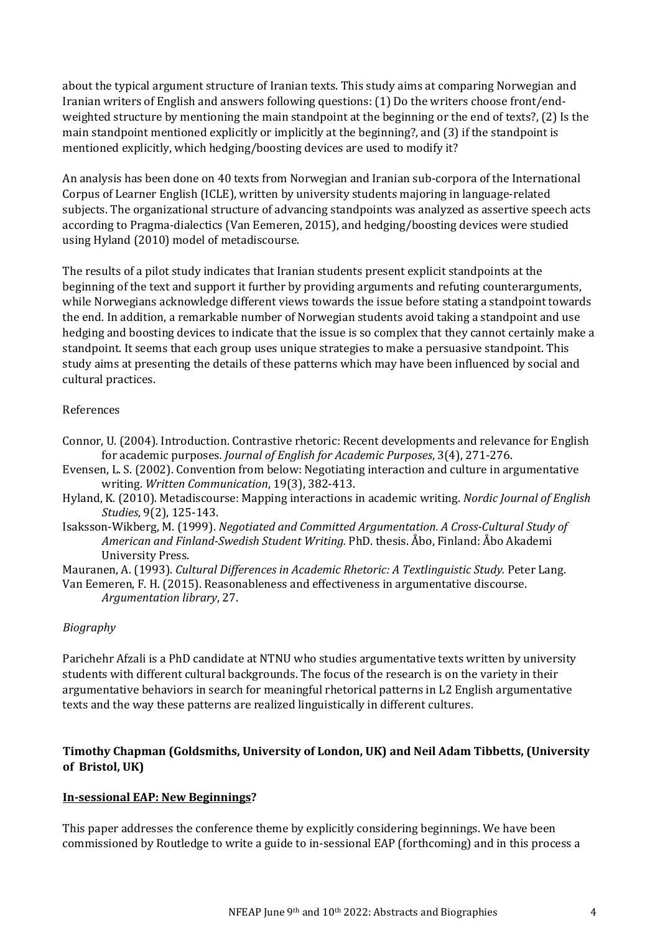about the typical argument structure of Iranian texts. This study aims at comparing Norwegian and Iranian writers of English and answers following questions: (1) Do the writers choose front/endweighted structure by mentioning the main standpoint at the beginning or the end of texts?, (2) Is the main standpoint mentioned explicitly or implicitly at the beginning?, and (3) if the standpoint is mentioned explicitly, which hedging/boosting devices are used to modify it?

An analysis has been done on 40 texts from Norwegian and Iranian sub-corpora of the International Corpus of Learner English (ICLE), written by university students majoring in language-related subjects. The organizational structure of advancing standpoints was analyzed as assertive speech acts according to Pragma-dialectics (Van Eemeren, 2015), and hedging/boosting devices were studied using Hyland (2010) model of metadiscourse.

The results of a pilot study indicates that Iranian students present explicit standpoints at the beginning of the text and support it further by providing arguments and refuting counterarguments, while Norwegians acknowledge different views towards the issue before stating a standpoint towards the end. In addition, a remarkable number of Norwegian students avoid taking a standpoint and use hedging and boosting devices to indicate that the issue is so complex that they cannot certainly make a standpoint. It seems that each group uses unique strategies to make a persuasive standpoint. This study aims at presenting the details of these patterns which may have been influenced by social and cultural practices.

### References

- Connor, U. (2004). Introduction. Contrastive rhetoric: Recent developments and relevance for English for academic purposes*. Journal of English for Academic Purposes*, 3(4), 271-276.
- Evensen, L. S. (2002). Convention from below: Negotiating interaction and culture in argumentative writing. *Written Communication*, 19(3), 382-413.
- Hyland, K. (2010). Metadiscourse: Mapping interactions in academic writing. *Nordic Journal of English Studies*, 9(2), 125-143.
- Isaksson-Wikberg, M. (1999). *Negotiated and Committed Argumentation. A Cross-Cultural Study of American and Finland-Swedish Student Writing.* PhD. thesis. Åbo, Finland: Åbo Akademi University Press.

Mauranen, A. (1993). *Cultural Differences in Academic Rhetoric: A Textlinguistic Study.* Peter Lang.

Van Eemeren, F. H. (2015). Reasonableness and effectiveness in argumentative discourse. *Argumentation library*, 27.

### *Biography*

Parichehr Afzali is a PhD candidate at NTNU who studies argumentative texts written by university students with different cultural backgrounds. The focus of the research is on the variety in their argumentative behaviors in search for meaningful rhetorical patterns in L2 English argumentative texts and the way these patterns are realized linguistically in different cultures.

### **Timothy Chapman (Goldsmiths, University of London, UK) and Neil Adam Tibbetts, (University of Bristol, UK)**

### **In-sessional EAP: New Beginnings?**

This paper addresses the conference theme by explicitly considering beginnings. We have been commissioned by Routledge to write a guide to in-sessional EAP (forthcoming) and in this process a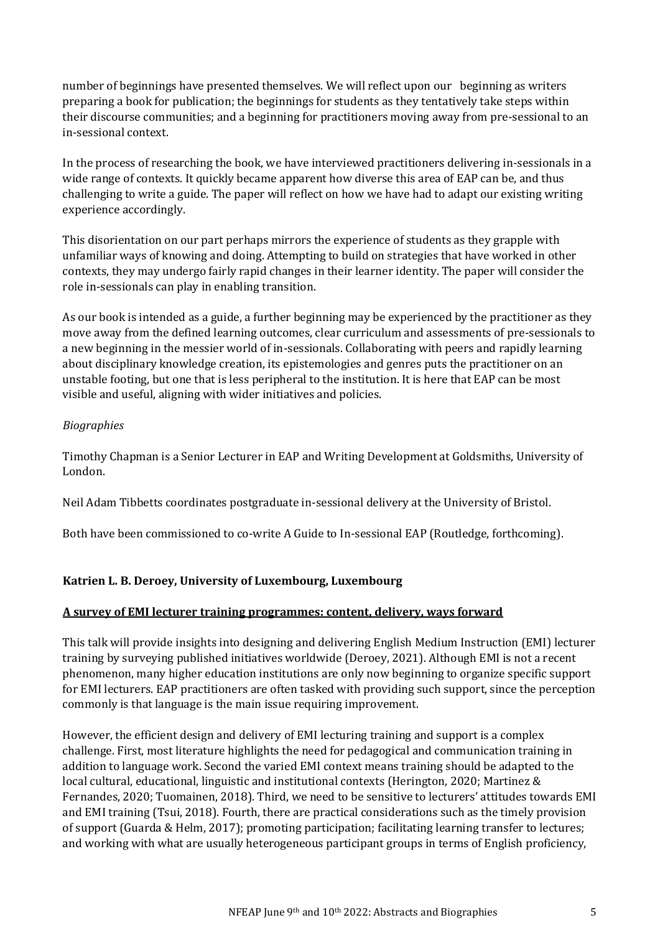number of beginnings have presented themselves. We will reflect upon our beginning as writers preparing a book for publication; the beginnings for students as they tentatively take steps within their discourse communities; and a beginning for practitioners moving away from pre-sessional to an in-sessional context.

In the process of researching the book, we have interviewed practitioners delivering in-sessionals in a wide range of contexts. It quickly became apparent how diverse this area of EAP can be, and thus challenging to write a guide. The paper will reflect on how we have had to adapt our existing writing experience accordingly.

This disorientation on our part perhaps mirrors the experience of students as they grapple with unfamiliar ways of knowing and doing. Attempting to build on strategies that have worked in other contexts, they may undergo fairly rapid changes in their learner identity. The paper will consider the role in-sessionals can play in enabling transition.

As our book is intended as a guide, a further beginning may be experienced by the practitioner as they move away from the defined learning outcomes, clear curriculum and assessments of pre-sessionals to a new beginning in the messier world of in-sessionals. Collaborating with peers and rapidly learning about disciplinary knowledge creation, its epistemologies and genres puts the practitioner on an unstable footing, but one that is less peripheral to the institution. It is here that EAP can be most visible and useful, aligning with wider initiatives and policies.

### *Biographies*

Timothy Chapman is a Senior Lecturer in EAP and Writing Development at Goldsmiths, University of London.

Neil Adam Tibbetts coordinates postgraduate in-sessional delivery at the University of Bristol.

Both have been commissioned to co-write A Guide to In-sessional EAP (Routledge, forthcoming).

### **Katrien L. B. Deroey, University of Luxembourg, Luxembourg**

### **A survey of EMI lecturer training programmes: content, delivery, ways forward**

This talk will provide insights into designing and delivering English Medium Instruction (EMI) lecturer training by surveying published initiatives worldwide (Deroey, 2021). Although EMI is not a recent phenomenon, many higher education institutions are only now beginning to organize specific support for EMI lecturers. EAP practitioners are often tasked with providing such support, since the perception commonly is that language is the main issue requiring improvement.

However, the efficient design and delivery of EMI lecturing training and support is a complex challenge. First, most literature highlights the need for pedagogical and communication training in addition to language work. Second the varied EMI context means training should be adapted to the local cultural, educational, linguistic and institutional contexts (Herington, 2020; Martinez & Fernandes, 2020; Tuomainen, 2018). Third, we need to be sensitive to lecturers' attitudes towards EMI and EMI training (Tsui, 2018). Fourth, there are practical considerations such as the timely provision of support (Guarda & Helm, 2017); promoting participation; facilitating learning transfer to lectures; and working with what are usually heterogeneous participant groups in terms of English proficiency,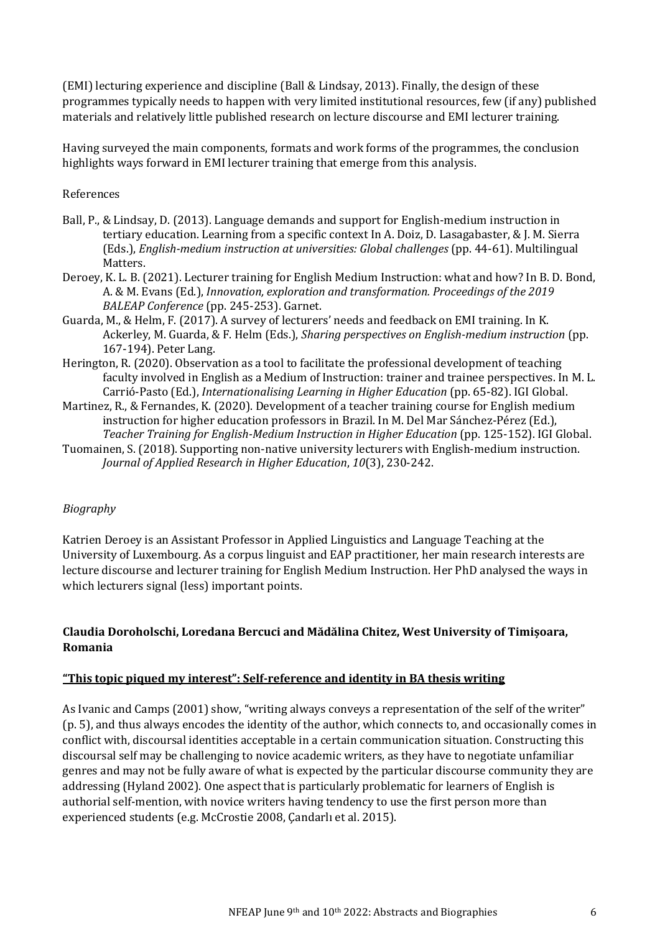(EMI) lecturing experience and discipline (Ball & Lindsay, 2013). Finally, the design of these programmes typically needs to happen with very limited institutional resources, few (if any) published materials and relatively little published research on lecture discourse and EMI lecturer training.

Having surveyed the main components, formats and work forms of the programmes, the conclusion highlights ways forward in EMI lecturer training that emerge from this analysis.

### References

- Ball, P., & Lindsay, D. (2013). Language demands and support for English-medium instruction in tertiary education. Learning from a specific context In A. Doiz, D. Lasagabaster, & J. M. Sierra (Eds.), *English-medium instruction at universities: Global challenges* (pp. 44-61). Multilingual Matters.
- Deroey, K. L. B. (2021). Lecturer training for English Medium Instruction: what and how? In B. D. Bond, A. & M. Evans (Ed.), *Innovation, exploration and transformation. Proceedings of the 2019 BALEAP Conference* (pp. 245-253). Garnet.
- Guarda, M., & Helm, F. (2017). A survey of lecturers' needs and feedback on EMI training. In K. Ackerley, M. Guarda, & F. Helm (Eds.), *Sharing perspectives on English-medium instruction* (pp. 167-194). Peter Lang.
- Herington, R. (2020). Observation as a tool to facilitate the professional development of teaching faculty involved in English as a Medium of Instruction: trainer and trainee perspectives. In M. L. Carrió-Pasto (Ed.), *Internationalising Learning in Higher Education* (pp. 65-82). IGI Global.
- Martinez, R., & Fernandes, K. (2020). Development of a teacher training course for English medium instruction for higher education professors in Brazil. In M. Del Mar Sánchez-Pérez (Ed.), *Teacher Training for English-Medium Instruction in Higher Education* (pp. 125-152). IGI Global.
- Tuomainen, S. (2018). Supporting non-native university lecturers with English-medium instruction. *Journal of Applied Research in Higher Education*, *10*(3), 230-242.

### *Biography*

Katrien Deroey is an Assistant Professor in Applied Linguistics and Language Teaching at the University of Luxembourg. As a corpus linguist and EAP practitioner, her main research interests are lecture discourse and lecturer training for English Medium Instruction. Her PhD analysed the ways in which lecturers signal (less) important points.

### **Claudia Doroholschi, Loredana Bercuci and Mădălina Chitez, West University of Timișoara, Romania**

### **"This topic piqued my interest": Self-reference and identity in BA thesis writing**

As Ivanic and Camps (2001) show, "writing always conveys a representation of the self of the writer" (p. 5), and thus always encodes the identity of the author, which connects to, and occasionally comes in conflict with, discoursal identities acceptable in a certain communication situation. Constructing this discoursal self may be challenging to novice academic writers, as they have to negotiate unfamiliar genres and may not be fully aware of what is expected by the particular discourse community they are addressing (Hyland 2002). One aspect that is particularly problematic for learners of English is authorial self-mention, with novice writers having tendency to use the first person more than experienced students (e.g. McCrostie 2008, Çandarlı et al. 2015).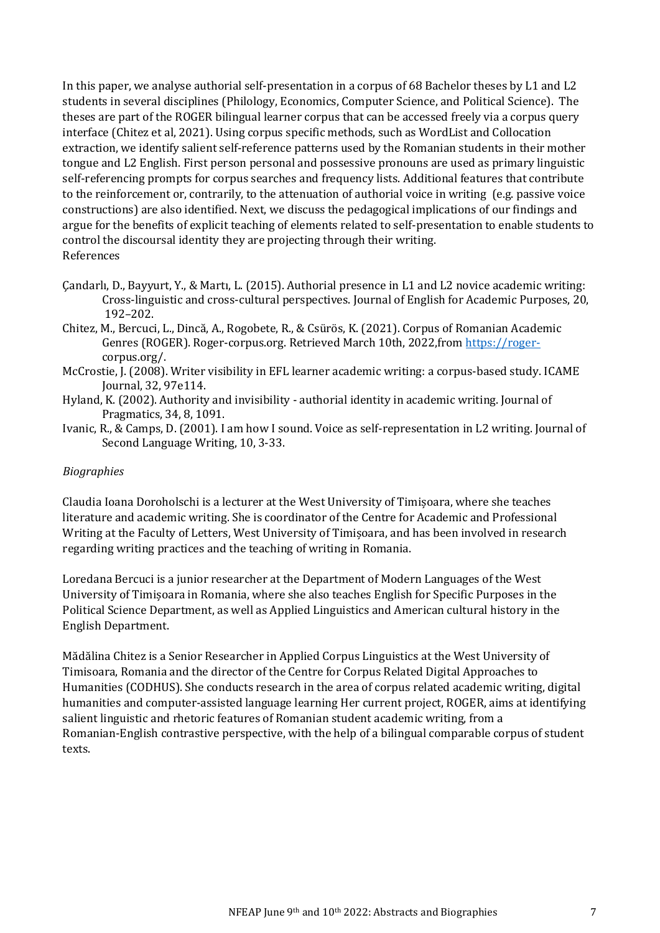In this paper, we analyse authorial self-presentation in a corpus of 68 Bachelor theses by L1 and L2 students in several disciplines (Philology, Economics, Computer Science, and Political Science). The theses are part of the ROGER bilingual learner corpus that can be accessed freely via a corpus query interface (Chitez et al, 2021). Using corpus specific methods, such as WordList and Collocation extraction, we identify salient self-reference patterns used by the Romanian students in their mother tongue and L2 English. First person personal and possessive pronouns are used as primary linguistic self-referencing prompts for corpus searches and frequency lists. Additional features that contribute to the reinforcement or, contrarily, to the attenuation of authorial voice in writing (e.g. passive voice constructions) are also identified. Next, we discuss the pedagogical implications of our findings and argue for the benefits of explicit teaching of elements related to self-presentation to enable students to control the discoursal identity they are projecting through their writing. References

- Çandarlı, D., Bayyurt, Y., & Martı, L. (2015). Authorial presence in L1 and L2 novice academic writing: Cross-linguistic and cross-cultural perspectives. Journal of English for Academic Purposes, 20, 192–202.
- Chitez, M., Bercuci, L., Dincă, A., Rogobete, R., & Csürös, K. (2021). Corpus of Romanian Academic Genres (ROGER). Roger-corpus.org. Retrieved March 10th, 2022,from [https://roger](https://roger-/)corpus.org/.
- McCrostie, J. (2008). Writer visibility in EFL learner academic writing: a corpus-based study. ICAME Journal, 32, 97e114.
- Hyland, K. (2002). Authority and invisibility authorial identity in academic writing. Journal of Pragmatics, 34, 8, 1091.
- Ivanic, R., & Camps, D. (2001). I am how I sound. Voice as self-representation in L2 writing. Journal of Second Language Writing, 10, 3-33.

### *Biographies*

Claudia Ioana Doroholschi is a lecturer at the West University of Timișoara, where she teaches literature and academic writing. She is coordinator of the Centre for Academic and Professional Writing at the Faculty of Letters, West University of Timișoara, and has been involved in research regarding writing practices and the teaching of writing in Romania.

Loredana Bercuci is a junior researcher at the Department of Modern Languages of the West University of Timișoara in Romania, where she also teaches English for Specific Purposes in the Political Science Department, as well as Applied Linguistics and American cultural history in the English Department.

Mădălina Chitez is a Senior Researcher in Applied Corpus Linguistics at the West University of Timisoara, Romania and the director of the Centre for Corpus Related Digital Approaches to Humanities (CODHUS). She conducts research in the area of corpus related academic writing, digital humanities and computer‑assisted language learning Her current project, ROGER, aims at identifying salient linguistic and rhetoric features of Romanian student academic writing, from a Romanian‑English contrastive perspective, with the help of a bilingual comparable corpus of student texts.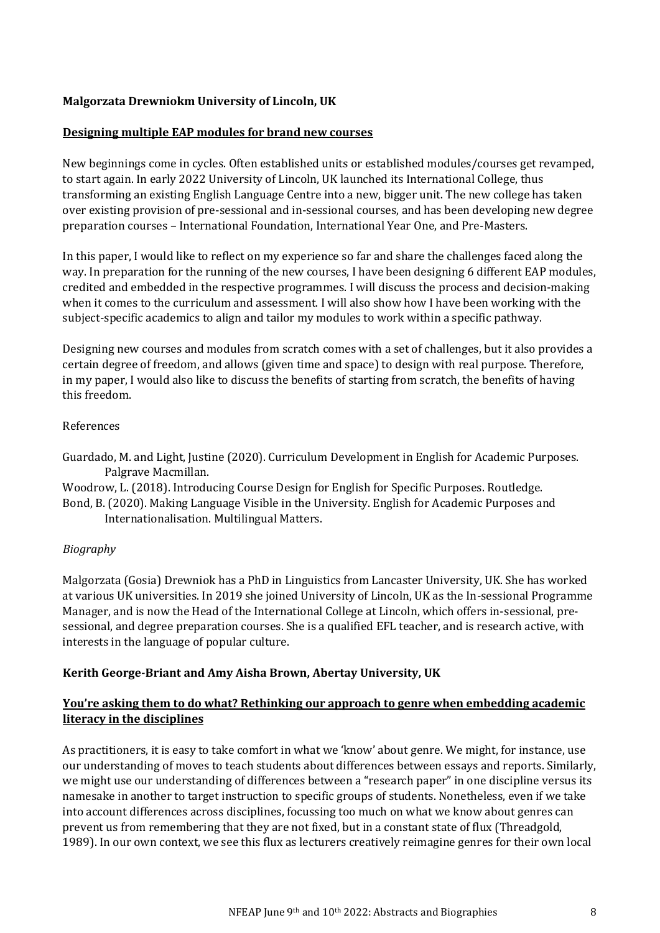### **Malgorzata Drewniokm University of Lincoln, UK**

#### **Designing multiple EAP modules for brand new courses**

New beginnings come in cycles. Often established units or established modules/courses get revamped, to start again. In early 2022 University of Lincoln, UK launched its International College, thus transforming an existing English Language Centre into a new, bigger unit. The new college has taken over existing provision of pre-sessional and in-sessional courses, and has been developing new degree preparation courses – International Foundation, International Year One, and Pre-Masters.

In this paper, I would like to reflect on my experience so far and share the challenges faced along the way. In preparation for the running of the new courses, I have been designing 6 different EAP modules, credited and embedded in the respective programmes. I will discuss the process and decision-making when it comes to the curriculum and assessment. I will also show how I have been working with the subject-specific academics to align and tailor my modules to work within a specific pathway.

Designing new courses and modules from scratch comes with a set of challenges, but it also provides a certain degree of freedom, and allows (given time and space) to design with real purpose. Therefore, in my paper, I would also like to discuss the benefits of starting from scratch, the benefits of having this freedom.

#### References

Guardado, M. and Light, Justine (2020). Curriculum Development in English for Academic Purposes. Palgrave Macmillan.

Woodrow, L. (2018). Introducing Course Design for English for Specific Purposes. Routledge.

Bond, B. (2020). Making Language Visible in the University. English for Academic Purposes and Internationalisation. Multilingual Matters.

### *Biography*

Malgorzata (Gosia) Drewniok has a PhD in Linguistics from Lancaster University, UK. She has worked at various UK universities. In 2019 she joined University of Lincoln, UK as the In-sessional Programme Manager, and is now the Head of the International College at Lincoln, which offers in-sessional, presessional, and degree preparation courses. She is a qualified EFL teacher, and is research active, with interests in the language of popular culture.

### **Kerith George-Briant and Amy Aisha Brown, Abertay University, UK**

### **You're asking them to do what? Rethinking our approach to genre when embedding academic literacy in the disciplines**

As practitioners, it is easy to take comfort in what we 'know' about genre. We might, for instance, use our understanding of moves to teach students about differences between essays and reports. Similarly, we might use our understanding of differences between a "research paper" in one discipline versus its namesake in another to target instruction to specific groups of students. Nonetheless, even if we take into account differences across disciplines, focussing too much on what we know about genres can prevent us from remembering that they are not fixed, but in a constant state of flux (Threadgold, 1989). In our own context, we see this flux as lecturers creatively reimagine genres for their own local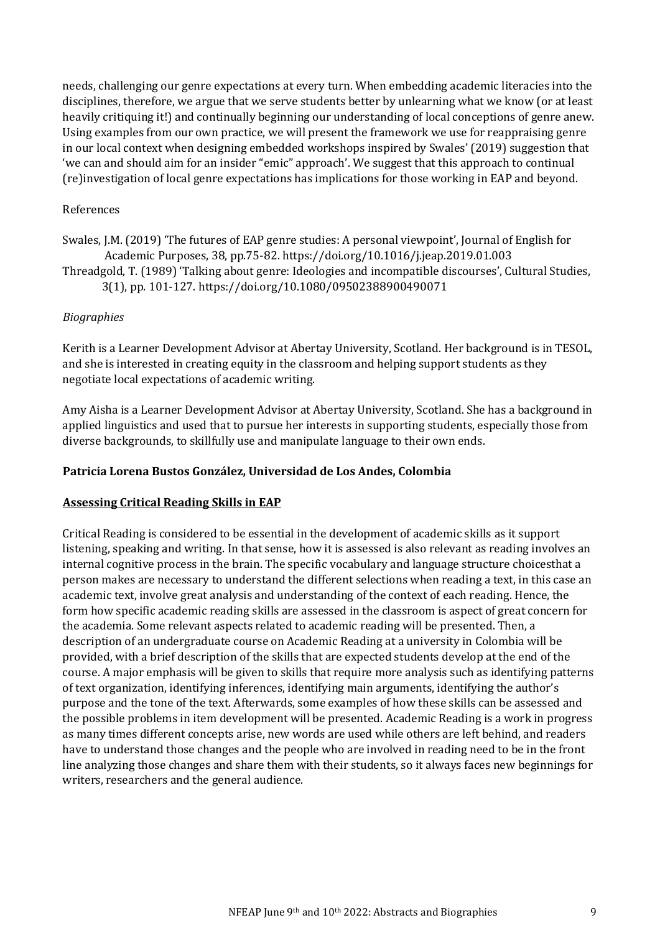needs, challenging our genre expectations at every turn. When embedding academic literacies into the disciplines, therefore, we argue that we serve students better by unlearning what we know (or at least heavily critiquing it!) and continually beginning our understanding of local conceptions of genre anew. Using examples from our own practice, we will present the framework we use for reappraising genre in our local context when designing embedded workshops inspired by Swales' (2019) suggestion that 'we can and should aim for an insider "emic" approach'. We suggest that this approach to continual (re)investigation of local genre expectations has implications for those working in EAP and beyond.

#### References

Swales, J.M. (2019) 'The futures of EAP genre studies: A personal viewpoint', Journal of English for Academic Purposes, 38, pp.75-82. https://doi.org/10.1016/j.jeap.2019.01.003 Threadgold, T. (1989) 'Talking about genre: Ideologies and incompatible discourses', Cultural Studies, 3(1), pp. 101-127. https://doi.org/10.1080/09502388900490071

#### *Biographies*

Kerith is a Learner Development Advisor at Abertay University, Scotland. Her background is in TESOL, and she is interested in creating equity in the classroom and helping support students as they negotiate local expectations of academic writing.

Amy Aisha is a Learner Development Advisor at Abertay University, Scotland. She has a background in applied linguistics and used that to pursue her interests in supporting students, especially those from diverse backgrounds, to skillfully use and manipulate language to their own ends.

#### **Patricia Lorena Bustos González, Universidad de Los Andes, Colombia**

#### **Assessing Critical Reading Skills in EAP**

Critical Reading is considered to be essential in the development of academic skills as it support listening, speaking and writing. In that sense, how it is assessed is also relevant as reading involves an internal cognitive process in the brain. The specific vocabulary and language structure choicesthat a person makes are necessary to understand the different selections when reading a text, in this case an academic text, involve great analysis and understanding of the context of each reading. Hence, the form how specific academic reading skills are assessed in the classroom is aspect of great concern for the academia. Some relevant aspects related to academic reading will be presented. Then, a description of an undergraduate course on Academic Reading at a university in Colombia will be provided, with a brief description of the skills that are expected students develop at the end of the course. A major emphasis will be given to skills that require more analysis such as identifying patterns of text organization, identifying inferences, identifying main arguments, identifying the author's purpose and the tone of the text. Afterwards, some examples of how these skills can be assessed and the possible problems in item development will be presented. Academic Reading is a work in progress as many times different concepts arise, new words are used while others are left behind, and readers have to understand those changes and the people who are involved in reading need to be in the front line analyzing those changes and share them with their students, so it always faces new beginnings for writers, researchers and the general audience.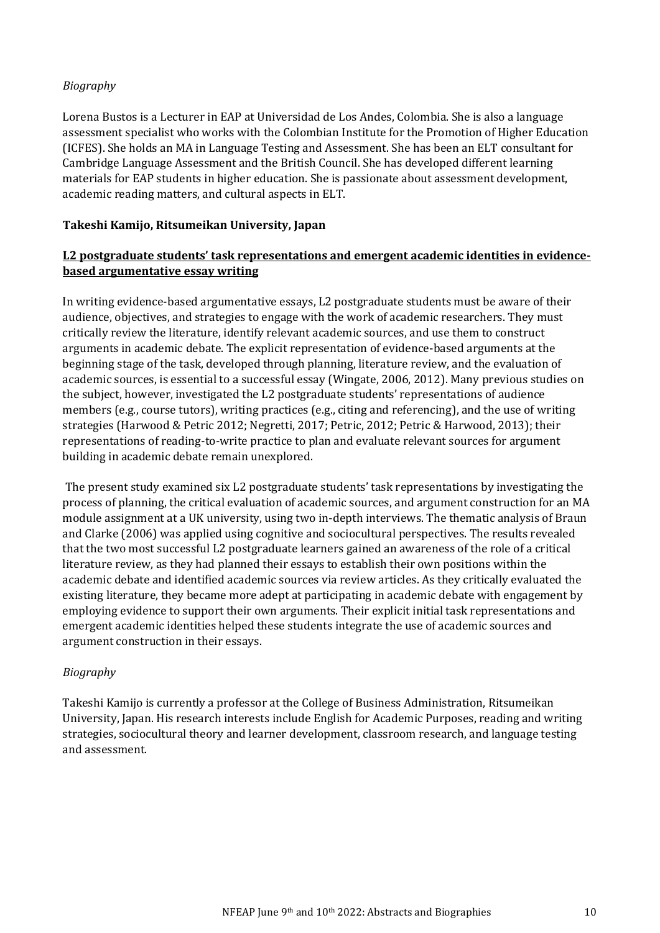### *Biography*

Lorena Bustos is a Lecturer in EAP at Universidad de Los Andes, Colombia. She is also a language assessment specialist who works with the Colombian Institute for the Promotion of Higher Education (ICFES). She holds an MA in Language Testing and Assessment. She has been an ELT consultant for Cambridge Language Assessment and the British Council. She has developed different learning materials for EAP students in higher education. She is passionate about assessment development, academic reading matters, and cultural aspects in ELT.

### **Takeshi Kamijo, Ritsumeikan University, Japan**

### **L2 postgraduate students' task representations and emergent academic identities in evidencebased argumentative essay writing**

In writing evidence-based argumentative essays, L2 postgraduate students must be aware of their audience, objectives, and strategies to engage with the work of academic researchers. They must critically review the literature, identify relevant academic sources, and use them to construct arguments in academic debate. The explicit representation of evidence-based arguments at the beginning stage of the task, developed through planning, literature review, and the evaluation of academic sources, is essential to a successful essay (Wingate, 2006, 2012). Many previous studies on the subject, however, investigated the L2 postgraduate students' representations of audience members (e.g., course tutors), writing practices (e.g., citing and referencing), and the use of writing strategies (Harwood & Petric 2012; Negretti, 2017; Petric, 2012; Petric & Harwood, 2013); their representations of reading-to-write practice to plan and evaluate relevant sources for argument building in academic debate remain unexplored.

The present study examined six L2 postgraduate students' task representations by investigating the process of planning, the critical evaluation of academic sources, and argument construction for an MA module assignment at a UK university, using two in-depth interviews. The thematic analysis of Braun and Clarke (2006) was applied using cognitive and sociocultural perspectives. The results revealed that the two most successful L2 postgraduate learners gained an awareness of the role of a critical literature review, as they had planned their essays to establish their own positions within the academic debate and identified academic sources via review articles. As they critically evaluated the existing literature, they became more adept at participating in academic debate with engagement by employing evidence to support their own arguments. Their explicit initial task representations and emergent academic identities helped these students integrate the use of academic sources and argument construction in their essays.

### *Biography*

Takeshi Kamijo is currently a professor at the College of Business Administration, Ritsumeikan University, Japan. His research interests include English for Academic Purposes, reading and writing strategies, sociocultural theory and learner development, classroom research, and language testing and assessment.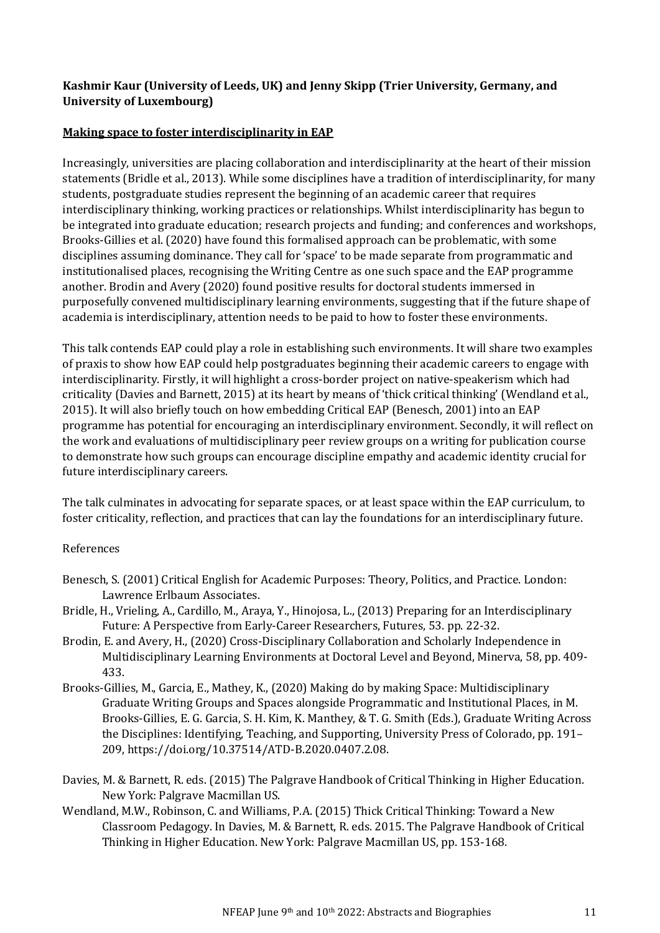### **Kashmir Kaur (University of Leeds, UK) and Jenny Skipp (Trier University, Germany, and University of Luxembourg)**

### **Making space to foster interdisciplinarity in EAP**

Increasingly, universities are placing collaboration and interdisciplinarity at the heart of their mission statements (Bridle et al., 2013). While some disciplines have a tradition of interdisciplinarity, for many students, postgraduate studies represent the beginning of an academic career that requires interdisciplinary thinking, working practices or relationships. Whilst interdisciplinarity has begun to be integrated into graduate education; research projects and funding; and conferences and workshops, Brooks-Gillies et al. (2020) have found this formalised approach can be problematic, with some disciplines assuming dominance. They call for 'space' to be made separate from programmatic and institutionalised places, recognising the Writing Centre as one such space and the EAP programme another. Brodin and Avery (2020) found positive results for doctoral students immersed in purposefully convened multidisciplinary learning environments, suggesting that if the future shape of academia is interdisciplinary, attention needs to be paid to how to foster these environments.

This talk contends EAP could play a role in establishing such environments. It will share two examples of praxis to show how EAP could help postgraduates beginning their academic careers to engage with interdisciplinarity. Firstly, it will highlight a cross-border project on native-speakerism which had criticality (Davies and Barnett, 2015) at its heart by means of 'thick critical thinking' (Wendland et al., 2015). It will also briefly touch on how embedding Critical EAP (Benesch, 2001) into an EAP programme has potential for encouraging an interdisciplinary environment. Secondly, it will reflect on the work and evaluations of multidisciplinary peer review groups on a writing for publication course to demonstrate how such groups can encourage discipline empathy and academic identity crucial for future interdisciplinary careers.

The talk culminates in advocating for separate spaces, or at least space within the EAP curriculum, to foster criticality, reflection, and practices that can lay the foundations for an interdisciplinary future.

### References

- Benesch, S. (2001) Critical English for Academic Purposes: Theory, Politics, and Practice. London: Lawrence Erlbaum Associates.
- Bridle, H., Vrieling, A., Cardillo, M., Araya, Y., Hinojosa, L., (2013) Preparing for an Interdisciplinary Future: A Perspective from Early-Career Researchers, Futures, 53. pp. 22-32.
- Brodin, E. and Avery, H., (2020) Cross-Disciplinary Collaboration and Scholarly Independence in Multidisciplinary Learning Environments at Doctoral Level and Beyond, Minerva, 58, pp. 409- 433.
- Brooks-Gillies, M., Garcia, E., Mathey, K., (2020) Making do by making Space: Multidisciplinary Graduate Writing Groups and Spaces alongside Programmatic and Institutional Places, in M. Brooks-Gillies, E. G. Garcia, S. H. Kim, K. Manthey, & T. G. Smith (Eds.), Graduate Writing Across the Disciplines: Identifying, Teaching, and Supporting, University Press of Colorado, pp. 191– 209, https://doi.org/10.37514/ATD-B.2020.0407.2.08.
- Davies, M. & Barnett, R. eds. (2015) The Palgrave Handbook of Critical Thinking in Higher Education. New York: Palgrave Macmillan US.
- Wendland, M.W., Robinson, C. and Williams, P.A. (2015) Thick Critical Thinking: Toward a New Classroom Pedagogy. In Davies, M. & Barnett, R. eds. 2015. The Palgrave Handbook of Critical Thinking in Higher Education. New York: Palgrave Macmillan US, pp. 153-168.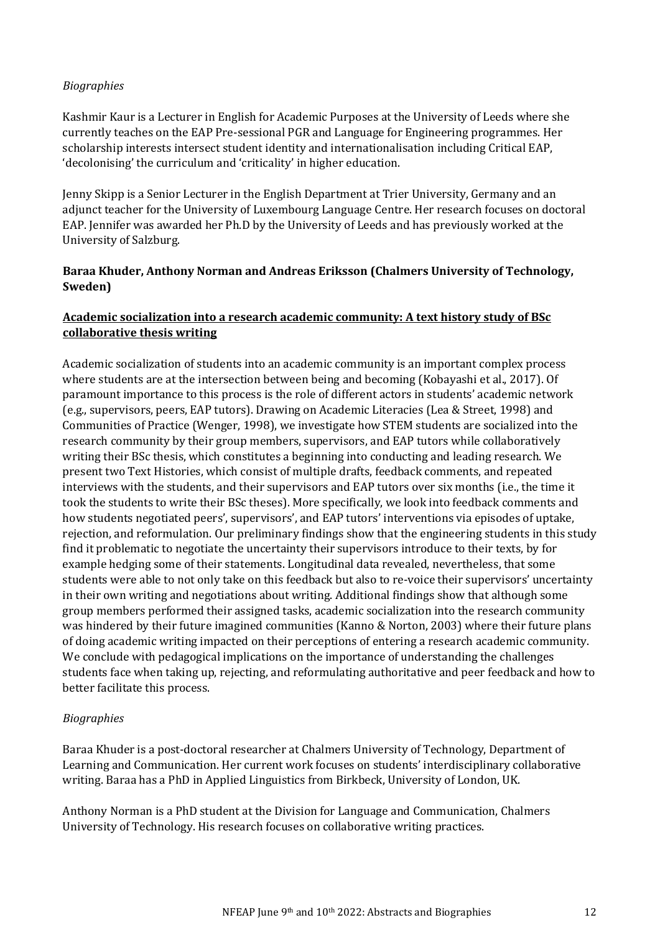### *Biographies*

Kashmir Kaur is a Lecturer in English for Academic Purposes at the University of Leeds where she currently teaches on the EAP Pre-sessional PGR and Language for Engineering programmes. Her scholarship interests intersect student identity and internationalisation including Critical EAP, 'decolonising' the curriculum and 'criticality' in higher education.

Jenny Skipp is a Senior Lecturer in the English Department at Trier University, Germany and an adjunct teacher for the University of Luxembourg Language Centre. Her research focuses on doctoral EAP. Jennifer was awarded her Ph.D by the University of Leeds and has previously worked at the University of Salzburg.

### **Baraa Khuder, Anthony Norman and Andreas Eriksson (Chalmers University of Technology, Sweden)**

### **Academic socialization into a research academic community: A text history study of BSc collaborative thesis writing**

Academic socialization of students into an academic community is an important complex process where students are at the intersection between being and becoming (Kobayashi et al., 2017). Of paramount importance to this process is the role of different actors in students' academic network (e.g., supervisors, peers, EAP tutors). Drawing on Academic Literacies (Lea & Street, 1998) and Communities of Practice (Wenger, 1998), we investigate how STEM students are socialized into the research community by their group members, supervisors, and EAP tutors while collaboratively writing their BSc thesis, which constitutes a beginning into conducting and leading research. We present two Text Histories, which consist of multiple drafts, feedback comments, and repeated interviews with the students, and their supervisors and EAP tutors over six months (i.e., the time it took the students to write their BSc theses). More specifically, we look into feedback comments and how students negotiated peers', supervisors', and EAP tutors' interventions via episodes of uptake, rejection, and reformulation. Our preliminary findings show that the engineering students in this study find it problematic to negotiate the uncertainty their supervisors introduce to their texts, by for example hedging some of their statements. Longitudinal data revealed, nevertheless, that some students were able to not only take on this feedback but also to re-voice their supervisors' uncertainty in their own writing and negotiations about writing. Additional findings show that although some group members performed their assigned tasks, academic socialization into the research community was hindered by their future imagined communities (Kanno & Norton, 2003) where their future plans of doing academic writing impacted on their perceptions of entering a research academic community. We conclude with pedagogical implications on the importance of understanding the challenges students face when taking up, rejecting, and reformulating authoritative and peer feedback and how to better facilitate this process.

### *Biographies*

Baraa Khuder is a post-doctoral researcher at Chalmers University of Technology, Department of Learning and Communication. Her current work focuses on students' interdisciplinary collaborative writing. Baraa has a PhD in Applied Linguistics from Birkbeck, University of London, UK.

Anthony Norman is a PhD student at the Division for Language and Communication, Chalmers University of Technology. His research focuses on collaborative writing practices.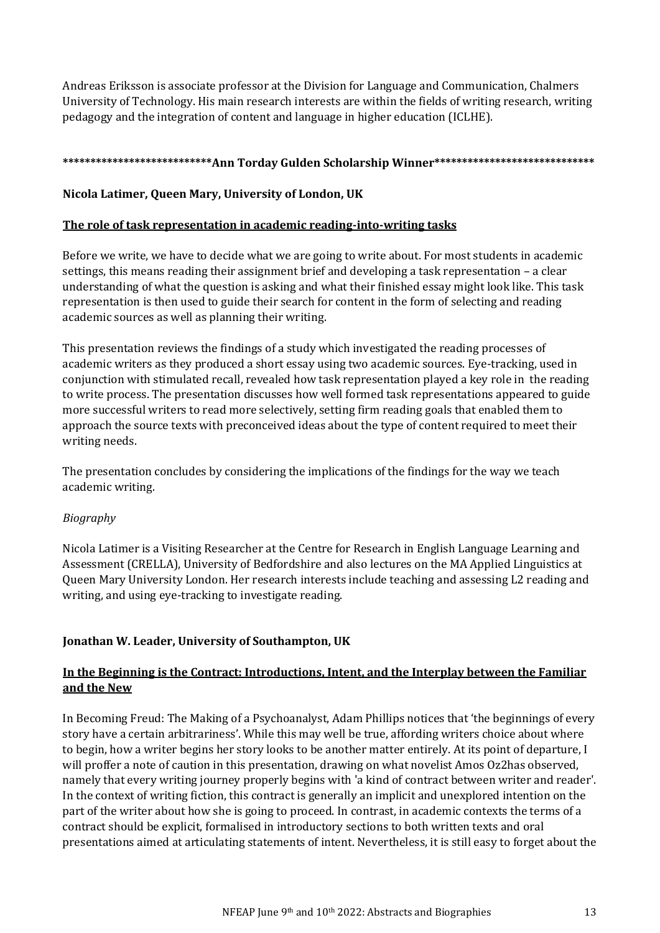Andreas Eriksson is associate professor at the Division for Language and Communication, Chalmers University of Technology. His main research interests are within the fields of writing research, writing pedagogy and the integration of content and language in higher education (ICLHE).

### **\*\*\*\*\*\*\*\*\*\*\*\*\*\*\*\*\*\*\*\*\*\*\*\*\*\*\*Ann Torday Gulden Scholarship Winner\*\*\*\*\*\*\*\*\*\*\*\*\*\*\*\*\*\*\*\*\*\*\*\*\*\*\*\*\***

### **Nicola Latimer, Queen Mary, University of London, UK**

### **The role of task representation in academic reading-into-writing tasks**

Before we write, we have to decide what we are going to write about. For most students in academic settings, this means reading their assignment brief and developing a task representation – a clear understanding of what the question is asking and what their finished essay might look like. This task representation is then used to guide their search for content in the form of selecting and reading academic sources as well as planning their writing.

This presentation reviews the findings of a study which investigated the reading processes of academic writers as they produced a short essay using two academic sources. Eye-tracking, used in conjunction with stimulated recall, revealed how task representation played a key role in the reading to write process. The presentation discusses how well formed task representations appeared to guide more successful writers to read more selectively, setting firm reading goals that enabled them to approach the source texts with preconceived ideas about the type of content required to meet their writing needs.

The presentation concludes by considering the implications of the findings for the way we teach academic writing.

### *Biography*

Nicola Latimer is a Visiting Researcher at the Centre for Research in English Language Learning and Assessment (CRELLA), University of Bedfordshire and also lectures on the MA Applied Linguistics at Queen Mary University London. Her research interests include teaching and assessing L2 reading and writing, and using eye-tracking to investigate reading.

### **Jonathan W. Leader, University of Southampton, UK**

### **In the Beginning is the Contract: Introductions, Intent, and the Interplay between the Familiar and the New**

In Becoming Freud: The Making of a Psychoanalyst, Adam Phillips notices that 'the beginnings of every story have a certain arbitrariness'. While this may well be true, affording writers choice about where to begin, how a writer begins her story looks to be another matter entirely. At its point of departure, I will proffer a note of caution in this presentation, drawing on what novelist Amos Oz2has observed, namely that every writing journey properly begins with 'a kind of contract between writer and reader'. In the context of writing fiction, this contract is generally an implicit and unexplored intention on the part of the writer about how she is going to proceed. In contrast, in academic contexts the terms of a contract should be explicit, formalised in introductory sections to both written texts and oral presentations aimed at articulating statements of intent. Nevertheless, it is still easy to forget about the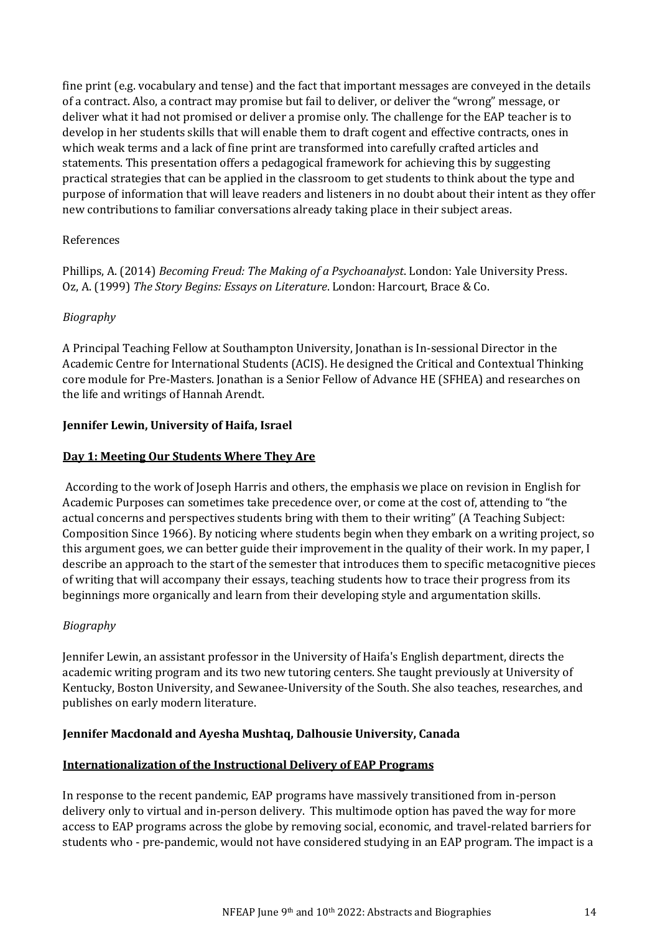fine print (e.g. vocabulary and tense) and the fact that important messages are conveyed in the details of a contract. Also, a contract may promise but fail to deliver, or deliver the "wrong" message, or deliver what it had not promised or deliver a promise only. The challenge for the EAP teacher is to develop in her students skills that will enable them to draft cogent and effective contracts, ones in which weak terms and a lack of fine print are transformed into carefully crafted articles and statements. This presentation offers a pedagogical framework for achieving this by suggesting practical strategies that can be applied in the classroom to get students to think about the type and purpose of information that will leave readers and listeners in no doubt about their intent as they offer new contributions to familiar conversations already taking place in their subject areas.

### References

Phillips, A. (2014) *Becoming Freud: The Making of a Psychoanalyst*. London: Yale University Press. Oz, A. (1999) *The Story Begins: Essays on Literature*. London: Harcourt, Brace & Co.

### *Biography*

A Principal Teaching Fellow at Southampton University, Jonathan is In-sessional Director in the Academic Centre for International Students (ACIS). He designed the Critical and Contextual Thinking core module for Pre-Masters. Jonathan is a Senior Fellow of Advance HE (SFHEA) and researches on the life and writings of Hannah Arendt.

### **Jennifer Lewin, University of Haifa, Israel**

### **Day 1: Meeting Our Students Where They Are**

According to the work of Joseph Harris and others, the emphasis we place on revision in English for Academic Purposes can sometimes take precedence over, or come at the cost of, attending to "the actual concerns and perspectives students bring with them to their writing" (A Teaching Subject: Composition Since 1966). By noticing where students begin when they embark on a writing project, so this argument goes, we can better guide their improvement in the quality of their work. In my paper, I describe an approach to the start of the semester that introduces them to specific metacognitive pieces of writing that will accompany their essays, teaching students how to trace their progress from its beginnings more organically and learn from their developing style and argumentation skills.

### *Biography*

Jennifer Lewin, an assistant professor in the University of Haifa's English department, directs the academic writing program and its two new tutoring centers. She taught previously at University of Kentucky, Boston University, and Sewanee-University of the South. She also teaches, researches, and publishes on early modern literature.

### **Jennifer Macdonald and Ayesha Mushtaq, Dalhousie University, Canada**

### **Internationalization of the Instructional Delivery of EAP Programs**

In response to the recent pandemic, EAP programs have massively transitioned from in-person delivery only to virtual and in-person delivery. This multimode option has paved the way for more access to EAP programs across the globe by removing social, economic, and travel-related barriers for students who - pre-pandemic, would not have considered studying in an EAP program. The impact is a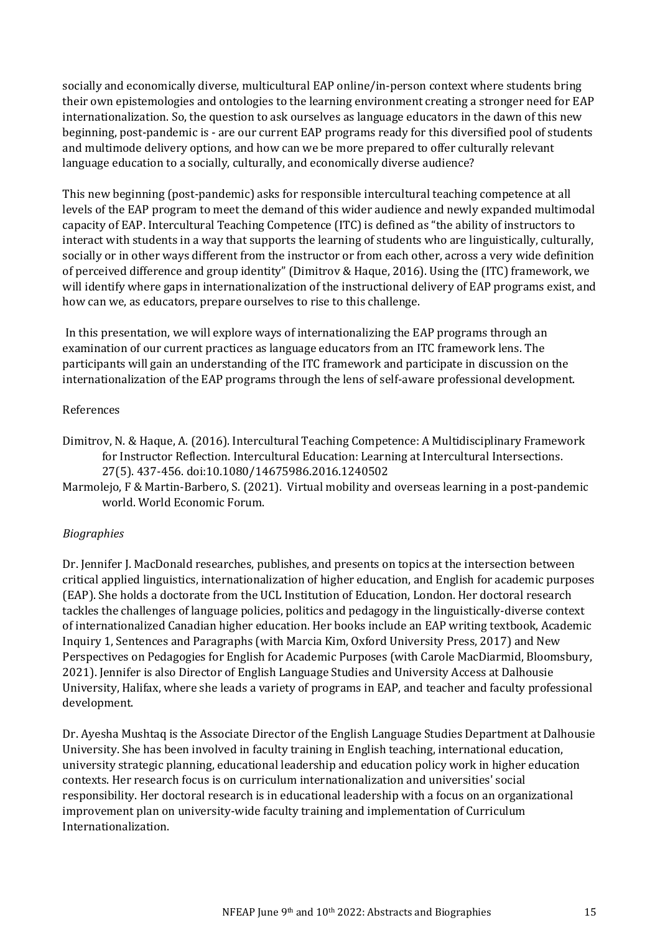socially and economically diverse, multicultural EAP online/in-person context where students bring their own epistemologies and ontologies to the learning environment creating a stronger need for EAP internationalization. So, the question to ask ourselves as language educators in the dawn of this new beginning, post-pandemic is - are our current EAP programs ready for this diversified pool of students and multimode delivery options, and how can we be more prepared to offer culturally relevant language education to a socially, culturally, and economically diverse audience?

This new beginning (post-pandemic) asks for responsible intercultural teaching competence at all levels of the EAP program to meet the demand of this wider audience and newly expanded multimodal capacity of EAP. Intercultural Teaching Competence (ITC) is defined as "the ability of instructors to interact with students in a way that supports the learning of students who are linguistically, culturally, socially or in other ways different from the instructor or from each other, across a very wide definition of perceived difference and group identity" (Dimitrov & Haque, 2016). Using the (ITC) framework, we will identify where gaps in internationalization of the instructional delivery of EAP programs exist, and how can we, as educators, prepare ourselves to rise to this challenge.

In this presentation, we will explore ways of internationalizing the EAP programs through an examination of our current practices as language educators from an ITC framework lens. The participants will gain an understanding of the ITC framework and participate in discussion on the internationalization of the EAP programs through the lens of self-aware professional development.

#### References

- Dimitrov, N. & Haque, A. (2016). Intercultural Teaching Competence: A Multidisciplinary Framework for Instructor Reflection. Intercultural Education: Learning at Intercultural Intersections. 27(5). 437-456. doi:10.1080/14675986.2016.1240502
- Marmolejo, F & Martin-Barbero, S. (2021). Virtual mobility and overseas learning in a post-pandemic world. World Economic Forum.

### *Biographies*

Dr. Jennifer J. MacDonald researches, publishes, and presents on topics at the intersection between critical applied linguistics, internationalization of higher education, and English for academic purposes (EAP). She holds a doctorate from the UCL Institution of Education, London. Her doctoral research tackles the challenges of language policies, politics and pedagogy in the linguistically-diverse context of internationalized Canadian higher education. Her books include an EAP writing textbook, Academic Inquiry 1, Sentences and Paragraphs (with Marcia Kim, Oxford University Press, 2017) and New Perspectives on Pedagogies for English for Academic Purposes (with Carole MacDiarmid, Bloomsbury, 2021). Jennifer is also Director of English Language Studies and University Access at Dalhousie University, Halifax, where she leads a variety of programs in EAP, and teacher and faculty professional development.

Dr. Ayesha Mushtaq is the Associate Director of the English Language Studies Department at Dalhousie University. She has been involved in faculty training in English teaching, international education, university strategic planning, educational leadership and education policy work in higher education contexts. Her research focus is on curriculum internationalization and universities' social responsibility. Her doctoral research is in educational leadership with a focus on an organizational improvement plan on university-wide faculty training and implementation of Curriculum Internationalization.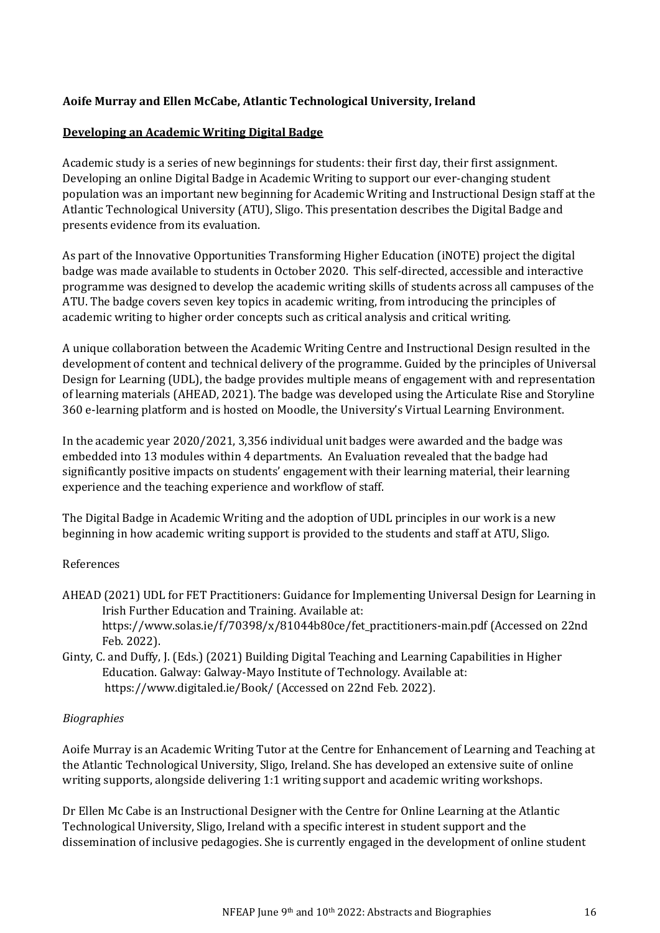### **Aoife Murray and Ellen McCabe, Atlantic Technological University, Ireland**

#### **Developing an Academic Writing Digital Badge**

Academic study is a series of new beginnings for students: their first day, their first assignment. Developing an online Digital Badge in Academic Writing to support our ever-changing student population was an important new beginning for Academic Writing and Instructional Design staff at the Atlantic Technological University (ATU), Sligo. This presentation describes the Digital Badge and presents evidence from its evaluation.

As part of the Innovative Opportunities Transforming Higher Education (iNOTE) project the digital badge was made available to students in October 2020. This self-directed, accessible and interactive programme was designed to develop the academic writing skills of students across all campuses of the ATU. The badge covers seven key topics in academic writing, from introducing the principles of academic writing to higher order concepts such as critical analysis and critical writing.

A unique collaboration between the Academic Writing Centre and Instructional Design resulted in the development of content and technical delivery of the programme. Guided by the principles of Universal Design for Learning (UDL), the badge provides multiple means of engagement with and representation of learning materials (AHEAD, 2021). The badge was developed using the Articulate Rise and Storyline 360 e-learning platform and is hosted on Moodle, the University's Virtual Learning Environment.

In the academic year 2020/2021, 3,356 individual unit badges were awarded and the badge was embedded into 13 modules within 4 departments. An Evaluation revealed that the badge had significantly positive impacts on students' engagement with their learning material, their learning experience and the teaching experience and workflow of staff.

The Digital Badge in Academic Writing and the adoption of UDL principles in our work is a new beginning in how academic writing support is provided to the students and staff at ATU, Sligo.

#### References

- AHEAD (2021) UDL for FET Practitioners: Guidance for Implementing Universal Design for Learning in Irish Further Education and Training. Available at: https://www.solas.ie/f/70398/x/81044b80ce/fet\_practitioners-main.pdf (Accessed on 22nd Feb. 2022).
- Ginty, C. and Duffy, J. (Eds.) (2021) Building Digital Teaching and Learning Capabilities in Higher Education. Galway: Galway-Mayo Institute of Technology. Available at: https://www.digitaled.ie/Book/ (Accessed on 22nd Feb. 2022).

#### *Biographies*

Aoife Murray is an Academic Writing Tutor at the Centre for Enhancement of Learning and Teaching at the Atlantic Technological University, Sligo, Ireland. She has developed an extensive suite of online writing supports, alongside delivering 1:1 writing support and academic writing workshops.

Dr Ellen Mc Cabe is an Instructional Designer with the Centre for Online Learning at the Atlantic Technological University, Sligo, Ireland with a specific interest in student support and the dissemination of inclusive pedagogies. She is currently engaged in the development of online student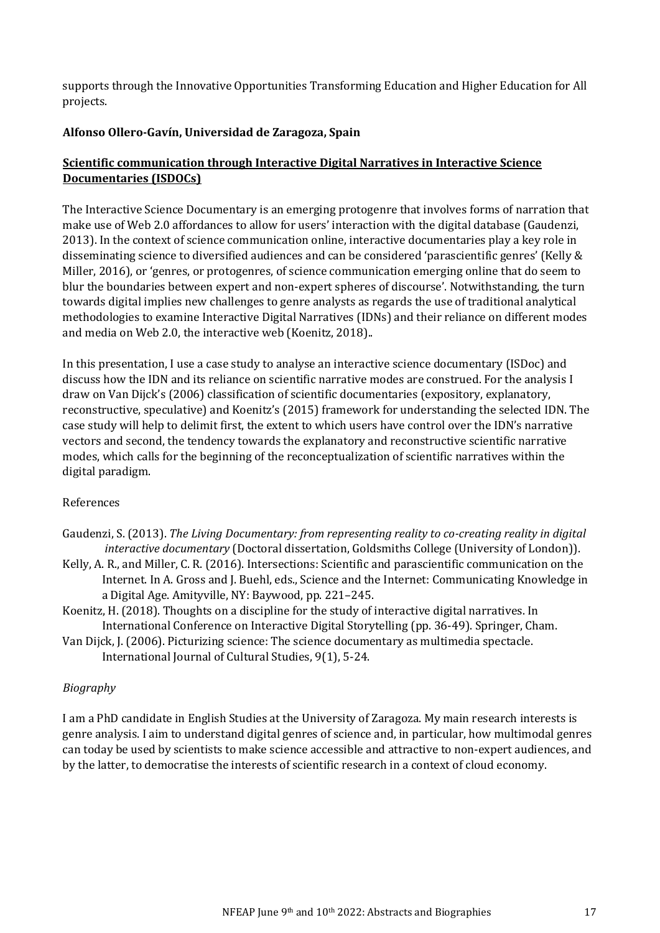supports through the Innovative Opportunities Transforming Education and Higher Education for All projects.

#### **Alfonso Ollero-Gavín, Universidad de Zaragoza, Spain**

### **Scientific communication through Interactive Digital Narratives in Interactive Science Documentaries (ISDOCs)**

The Interactive Science Documentary is an emerging protogenre that involves forms of narration that make use of Web 2.0 affordances to allow for users' interaction with the digital database (Gaudenzi, 2013). In the context of science communication online, interactive documentaries play a key role in disseminating science to diversified audiences and can be considered 'parascientific genres' (Kelly & Miller, 2016), or 'genres, or protogenres, of science communication emerging online that do seem to blur the boundaries between expert and non-expert spheres of discourse'. Notwithstanding, the turn towards digital implies new challenges to genre analysts as regards the use of traditional analytical methodologies to examine Interactive Digital Narratives (IDNs) and their reliance on different modes and media on Web 2.0, the interactive web (Koenitz, 2018)..

In this presentation, I use a case study to analyse an interactive science documentary (ISDoc) and discuss how the IDN and its reliance on scientific narrative modes are construed. For the analysis I draw on Van Dijck's (2006) classification of scientific documentaries (expository, explanatory, reconstructive, speculative) and Koenitz's (2015) framework for understanding the selected IDN. The case study will help to delimit first, the extent to which users have control over the IDN's narrative vectors and second, the tendency towards the explanatory and reconstructive scientific narrative modes, which calls for the beginning of the reconceptualization of scientific narratives within the digital paradigm.

#### References

- Gaudenzi, S. (2013). *The Living Documentary: from representing reality to co-creating reality in digital interactive documentary* (Doctoral dissertation, Goldsmiths College (University of London)).
- Kelly, A. R., and Miller, C. R. (2016). Intersections: Scientific and parascientific communication on the Internet. In A. Gross and J. Buehl, eds., Science and the Internet: Communicating Knowledge in a Digital Age. Amityville, NY: Baywood, pp. 221–245.
- Koenitz, H. (2018). Thoughts on a discipline for the study of interactive digital narratives. In International Conference on Interactive Digital Storytelling (pp. 36-49). Springer, Cham.
- Van Dijck, J. (2006). Picturizing science: The science documentary as multimedia spectacle. International Journal of Cultural Studies, 9(1), 5-24.

### *Biography*

I am a PhD candidate in English Studies at the University of Zaragoza. My main research interests is genre analysis. I aim to understand digital genres of science and, in particular, how multimodal genres can today be used by scientists to make science accessible and attractive to non-expert audiences, and by the latter, to democratise the interests of scientific research in a context of cloud economy.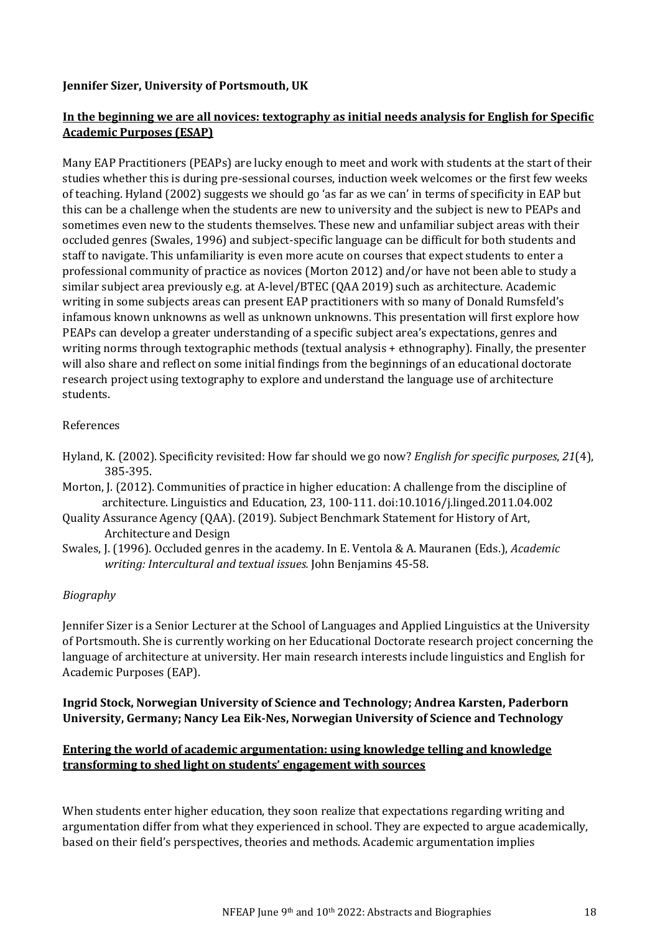### **Jennifer Sizer, University of Portsmouth, UK**

### **In the beginning we are all novices: textography as initial needs analysis for English for Specific Academic Purposes (ESAP)**

Many EAP Practitioners (PEAPs) are lucky enough to meet and work with students at the start of their studies whether this is during pre-sessional courses, induction week welcomes or the first few weeks of teaching. Hyland (2002) suggests we should go 'as far as we can' in terms of specificity in EAP but this can be a challenge when the students are new to university and the subject is new to PEAPs and sometimes even new to the students themselves. These new and unfamiliar subject areas with their occluded genres (Swales, 1996) and subject-specific language can be difficult for both students and staff to navigate. This unfamiliarity is even more acute on courses that expect students to enter a professional community of practice as novices (Morton 2012) and/or have not been able to study a similar subject area previously e.g. at A-level/BTEC (QAA 2019) such as architecture. Academic writing in some subjects areas can present EAP practitioners with so many of Donald Rumsfeld's infamous known unknowns as well as unknown unknowns. This presentation will first explore how PEAPs can develop a greater understanding of a specific subject area's expectations, genres and writing norms through textographic methods (textual analysis + ethnography). Finally, the presenter will also share and reflect on some initial findings from the beginnings of an educational doctorate research project using textography to explore and understand the language use of architecture students.

### References

- Hyland, K. (2002). Specificity revisited: How far should we go now? *English for specific purposes*, *21*(4), 385-395.
- Morton, J. (2012). Communities of practice in higher education: A challenge from the discipline of architecture. Linguistics and Education, 23, 100-111. doi:10.1016/j.linged.2011.04.002
- Quality Assurance Agency (QAA). (2019). Subject Benchmark Statement for History of Art, Architecture and Design
- Swales, J. (1996). Occluded genres in the academy. In E. Ventola & A. Mauranen (Eds.), *Academic writing: Intercultural and textual issues.* John Benjamins 45-58.

### *Biography*

Jennifer Sizer is a Senior Lecturer at the School of Languages and Applied Linguistics at the University of Portsmouth. She is currently working on her Educational Doctorate research project concerning the language of architecture at university. Her main research interests include linguistics and English for Academic Purposes (EAP).

### **Ingrid Stock, Norwegian University of Science and Technology; Andrea Karsten, Paderborn University, Germany; Nancy Lea Eik-Nes, Norwegian University of Science and Technology**

### **Entering the world of academic argumentation: using knowledge telling and knowledge transforming to shed light on students' engagement with sources**

When students enter higher education, they soon realize that expectations regarding writing and argumentation differ from what they experienced in school. They are expected to argue academically, based on their field's perspectives, theories and methods. Academic argumentation implies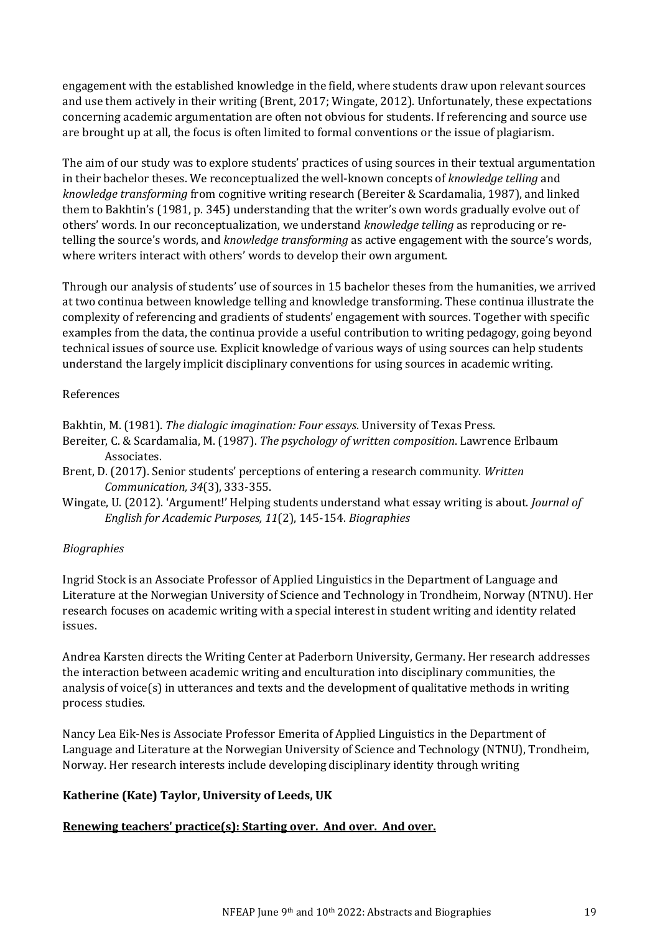engagement with the established knowledge in the field, where students draw upon relevant sources and use them actively in their writing (Brent, 2017; Wingate, 2012). Unfortunately, these expectations concerning academic argumentation are often not obvious for students. If referencing and source use are brought up at all, the focus is often limited to formal conventions or the issue of plagiarism.

The aim of our study was to explore students' practices of using sources in their textual argumentation in their bachelor theses. We reconceptualized the well-known concepts of *knowledge telling* and *knowledge transforming* from cognitive writing research (Bereiter & Scardamalia, 1987), and linked them to Bakhtin's (1981, p. 345) understanding that the writer's own words gradually evolve out of others' words. In our reconceptualization, we understand *knowledge telling* as reproducing or retelling the source's words, and *knowledge transforming* as active engagement with the source's words, where writers interact with others' words to develop their own argument.

Through our analysis of students' use of sources in 15 bachelor theses from the humanities, we arrived at two continua between knowledge telling and knowledge transforming. These continua illustrate the complexity of referencing and gradients of students' engagement with sources. Together with specific examples from the data, the continua provide a useful contribution to writing pedagogy, going beyond technical issues of source use. Explicit knowledge of various ways of using sources can help students understand the largely implicit disciplinary conventions for using sources in academic writing.

### References

Bakhtin, M. (1981). *The dialogic imagination: Four essays*. University of Texas Press.

- Bereiter, C. & Scardamalia, M. (1987). *The psychology of written composition*. Lawrence Erlbaum Associates.
- Brent, D. (2017). Senior students' perceptions of entering a research community. *Written Communication, 34*(3), 333-355.
- Wingate, U. (2012). 'Argument!' Helping students understand what essay writing is about. *Journal of English for Academic Purposes, 11*(2), 145-154. *Biographies*

### *Biographies*

Ingrid Stock is an Associate Professor of Applied Linguistics in the Department of Language and Literature at the Norwegian University of Science and Technology in Trondheim, Norway (NTNU). Her research focuses on academic writing with a special interest in student writing and identity related issues.

Andrea Karsten directs the Writing Center at Paderborn University, Germany. Her research addresses the interaction between academic writing and enculturation into disciplinary communities, the analysis of voice(s) in utterances and texts and the development of qualitative methods in writing process studies.

Nancy Lea Eik-Nes is Associate Professor Emerita of Applied Linguistics in the Department of Language and Literature at the Norwegian University of Science and Technology (NTNU), Trondheim, Norway. Her research interests include developing disciplinary identity through writing

### **Katherine (Kate) Taylor, University of Leeds, UK**

### **Renewing teachers' practice(s): Starting over. And over. And over.**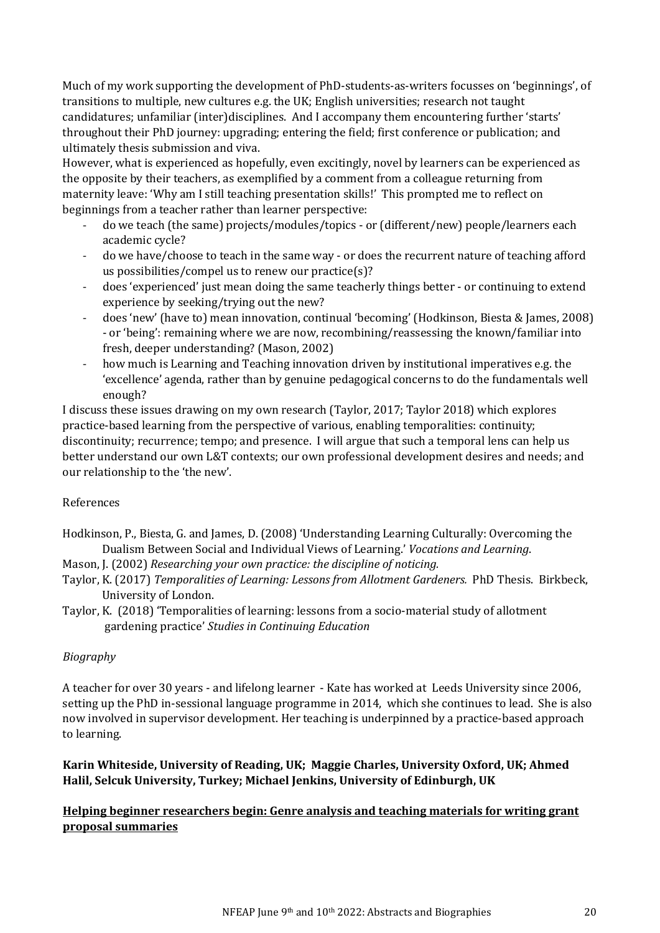Much of my work supporting the development of PhD-students-as-writers focusses on 'beginnings', of transitions to multiple, new cultures e.g. the UK; English universities; research not taught candidatures; unfamiliar (inter)disciplines. And I accompany them encountering further 'starts' throughout their PhD journey: upgrading; entering the field; first conference or publication; and ultimately thesis submission and viva.

However, what is experienced as hopefully, even excitingly, novel by learners can be experienced as the opposite by their teachers, as exemplified by a comment from a colleague returning from maternity leave: 'Why am I still teaching presentation skills!' This prompted me to reflect on beginnings from a teacher rather than learner perspective:

- do we teach (the same) projects/modules/topics or (different/new) people/learners each academic cycle?
- do we have/choose to teach in the same way or does the recurrent nature of teaching afford us possibilities/compel us to renew our practice(s)?
- does 'experienced' just mean doing the same teacherly things better or continuing to extend experience by seeking/trying out the new?
- does 'new' (have to) mean innovation, continual 'becoming' (Hodkinson, Biesta & James, 2008) - or 'being': remaining where we are now, recombining/reassessing the known/familiar into fresh, deeper understanding? (Mason, 2002)
- how much is Learning and Teaching innovation driven by institutional imperatives e.g. the 'excellence' agenda, rather than by genuine pedagogical concerns to do the fundamentals well enough?

I discuss these issues drawing on my own research (Taylor, 2017; Taylor 2018) which explores practice-based learning from the perspective of various, enabling temporalities: continuity; discontinuity; recurrence; tempo; and presence. I will argue that such a temporal lens can help us better understand our own L&T contexts; our own professional development desires and needs; and our relationship to the 'the new'.

### References

- Hodkinson, P., Biesta, G. and James, D. (2008) 'Understanding Learning Culturally: Overcoming the Dualism Between Social and Individual Views of Learning.' *Vocations and Learning*.
- Mason, J. (2002) *Researching your own practice: the discipline of noticing.*
- Taylor, K. (2017) *Temporalities of Learning: Lessons from Allotment Gardeners.* PhD Thesis. Birkbeck, University of London.
- Taylor, K. (2018) 'Temporalities of learning: lessons from a socio-material study of allotment gardening practice' *Studies in Continuing Education*

### *Biography*

A teacher for over 30 years - and lifelong learner - Kate has worked at Leeds University since 2006, setting up the PhD in-sessional language programme in 2014, which she continues to lead. She is also now involved in supervisor development. Her teaching is underpinned by a practice-based approach to learning.

**Karin Whiteside, University of Reading, UK; Maggie Charles, University Oxford, UK; Ahmed Halil, Selcuk University, Turkey; Michael Jenkins, University of Edinburgh, UK** 

### **Helping beginner researchers begin: Genre analysis and teaching materials for writing grant proposal summaries**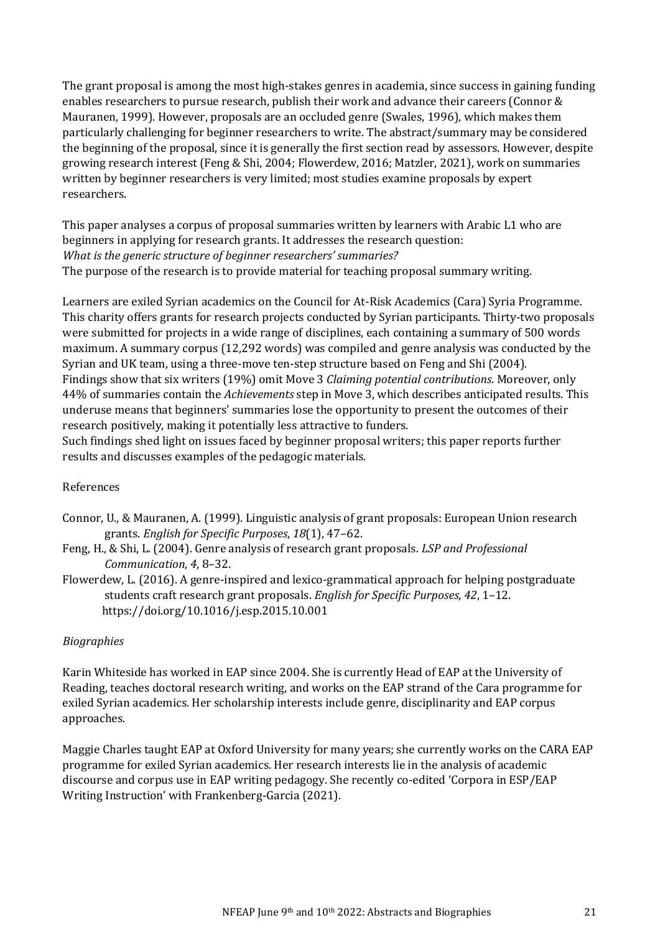The grant proposal is among the most high-stakes genres in academia, since success in gaining funding enables researchers to pursue research, publish their work and advance their careers (Connor & Mauranen, 1999). However, proposals are an occluded genre (Swales, 1996), which makes them particularly challenging for beginner researchers to write. The abstract/summary may be considered the beginning of the proposal, since it is generally the first section read by assessors. However, despite growing research interest (Feng & Shi, 2004; Flowerdew, 2016; Matzler, 2021), work on summaries written by beginner researchers is very limited; most studies examine proposals by expert researchers.

This paper analyses a corpus of proposal summaries written by learners with Arabic L1 who are beginners in applying for research grants. It addresses the research question: *What is the generic structure of beginner researchers' summaries?*  The purpose of the research is to provide material for teaching proposal summary writing.

Learners are exiled Syrian academics on the Council for At-Risk Academics (Cara) Syria Programme. This charity offers grants for research projects conducted by Syrian participants. Thirty-two proposals were submitted for projects in a wide range of disciplines, each containing a summary of 500 words maximum. A summary corpus (12,292 words) was compiled and genre analysis was conducted by the Syrian and UK team, using a three-move ten-step structure based on Feng and Shi (2004). Findings show that six writers (19%) omit Move 3 *Claiming potential contributions*. Moreover, only 44% of summaries contain the *Achievements* step in Move 3, which describes anticipated results. This underuse means that beginners' summaries lose the opportunity to present the outcomes of their research positively, making it potentially less attractive to funders.

Such findings shed light on issues faced by beginner proposal writers; this paper reports further results and discusses examples of the pedagogic materials.

### References

- Connor, U., & Mauranen, A. (1999). Linguistic analysis of grant proposals: European Union research grants. *English for Specific Purposes*, *18*(1), 47–62.
- Feng, H., & Shi, L. (2004). Genre analysis of research grant proposals. *LSP and Professional Communication*, *4*, 8–32.
- Flowerdew, L. (2016). A genre-inspired and lexico-grammatical approach for helping postgraduate students craft research grant proposals. *English for Specific Purposes*, *42*, 1–12. https://doi.org/10.1016/j.esp.2015.10.001

### *Biographies*

Karin Whiteside has worked in EAP since 2004. She is currently Head of EAP at the University of Reading, teaches doctoral research writing, and works on the EAP strand of the Cara programme for exiled Syrian academics. Her scholarship interests include genre, disciplinarity and EAP corpus approaches.

Maggie Charles taught EAP at Oxford University for many years; she currently works on the CARA EAP programme for exiled Syrian academics. Her research interests lie in the analysis of academic discourse and corpus use in EAP writing pedagogy. She recently co-edited 'Corpora in ESP/EAP Writing Instruction' with Frankenberg-Garcia (2021).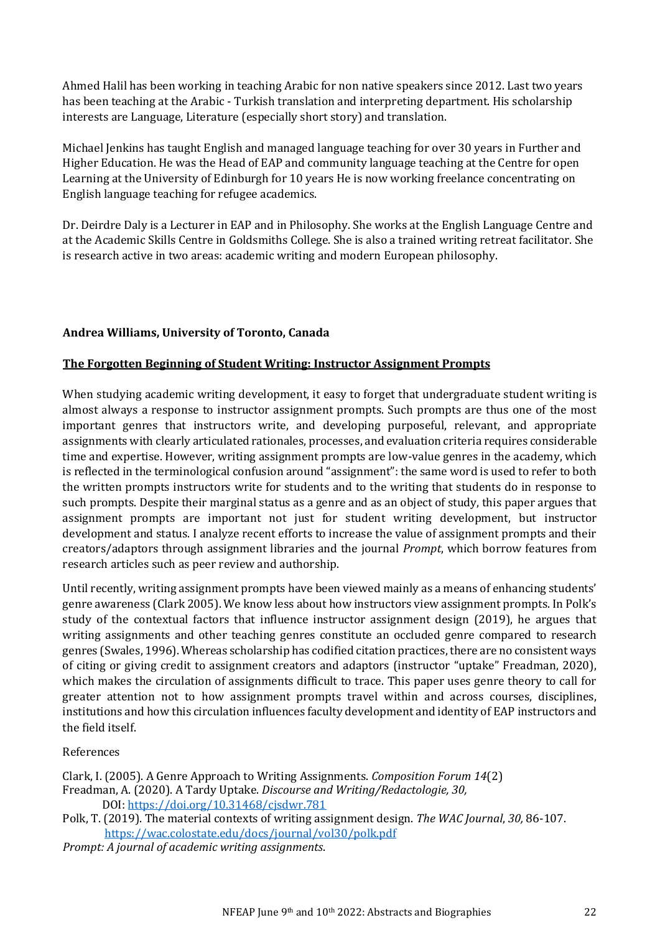Ahmed Halil has been working in teaching Arabic for non native speakers since 2012. Last two years has been teaching at the Arabic - Turkish translation and interpreting department. His scholarship interests are Language, Literature (especially short story) and translation.

Michael Jenkins has taught English and managed language teaching for over 30 years in Further and Higher Education. He was the Head of EAP and community language teaching at the Centre for open Learning at the University of Edinburgh for 10 years He is now working freelance concentrating on English language teaching for refugee academics.

Dr. Deirdre Daly is a Lecturer in EAP and in Philosophy. She works at the English Language Centre and at the Academic Skills Centre in Goldsmiths College. She is also a trained writing retreat facilitator. She is research active in two areas: academic writing and modern European philosophy.

### **Andrea Williams, University of Toronto, Canada**

### **The Forgotten Beginning of Student Writing: Instructor Assignment Prompts**

When studying academic writing development, it easy to forget that undergraduate student writing is almost always a response to instructor assignment prompts. Such prompts are thus one of the most important genres that instructors write, and developing purposeful, relevant, and appropriate assignments with clearly articulated rationales, processes, and evaluation criteria requires considerable time and expertise. However, writing assignment prompts are low-value genres in the academy, which is reflected in the terminological confusion around "assignment": the same word is used to refer to both the written prompts instructors write for students and to the writing that students do in response to such prompts. Despite their marginal status as a genre and as an object of study, this paper argues that assignment prompts are important not just for student writing development, but instructor development and status. I analyze recent efforts to increase the value of assignment prompts and their creators/adaptors through assignment libraries and the journal *Prompt*, which borrow features from research articles such as peer review and authorship.

Until recently, writing assignment prompts have been viewed mainly as a means of enhancing students' genre awareness (Clark 2005). We know less about how instructors view assignment prompts. In Polk's study of the contextual factors that influence instructor assignment design (2019), he argues that writing assignments and other teaching genres constitute an occluded genre compared to research genres (Swales, 1996). Whereas scholarship has codified citation practices, there are no consistent ways of citing or giving credit to assignment creators and adaptors (instructor "uptake" Freadman, 2020), which makes the circulation of assignments difficult to trace. This paper uses genre theory to call for greater attention not to how assignment prompts travel within and across courses, disciplines, institutions and how this circulation influences faculty development and identity of EAP instructors and the field itself.

### References

Clark, I. (2005). A Genre Approach to Writing Assignments. *Composition Forum 14*(2) Freadman, A. (2020). A Tardy Uptake. *Discourse and Writing/Redactologie, 30,* DOI[: https://doi.org/10.31468/cjsdwr.781](https://doi.org/10.31468/cjsdwr.781)

Polk, T. (2019). The material contexts of writing assignment design. *The WAC Journal*, *30,* 86-107. <https://wac.colostate.edu/docs/journal/vol30/polk.pdf>

*Prompt: A journal of academic writing assignments*.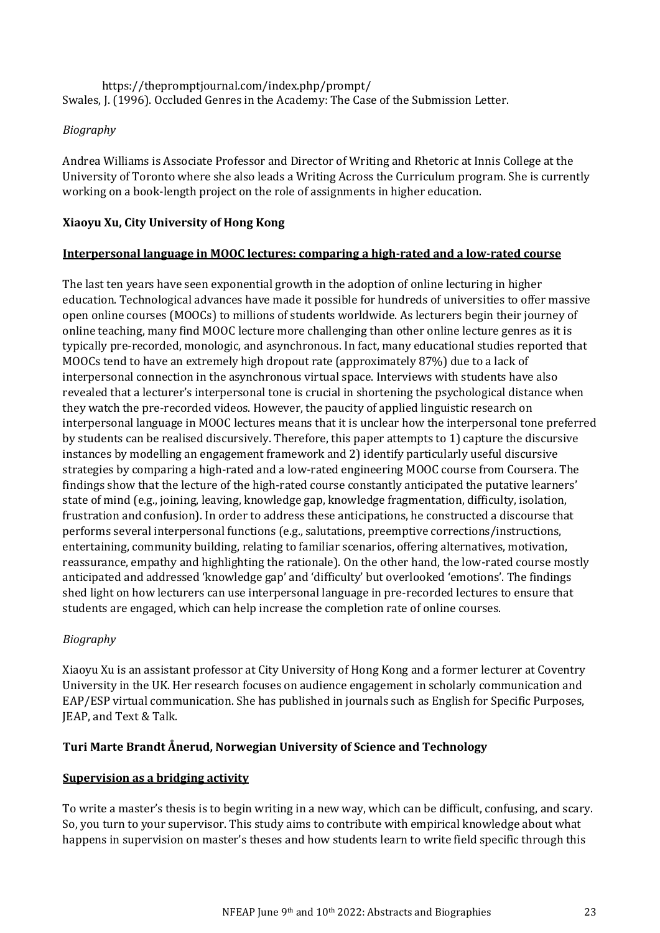https://thepromptjournal.com/index.php/prompt/ Swales, J. (1996). Occluded Genres in the Academy: The Case of the Submission Letter.

### *Biography*

Andrea Williams is Associate Professor and Director of Writing and Rhetoric at Innis College at the University of Toronto where she also leads a Writing Across the Curriculum program. She is currently working on a book-length project on the role of assignments in higher education.

### **Xiaoyu Xu, City University of Hong Kong**

### **Interpersonal language in MOOC lectures: comparing a high-rated and a low-rated course**

The last ten years have seen exponential growth in the adoption of online lecturing in higher education. Technological advances have made it possible for hundreds of universities to offer massive open online courses (MOOCs) to millions of students worldwide. As lecturers begin their journey of online teaching, many find MOOC lecture more challenging than other online lecture genres as it is typically pre-recorded, monologic, and asynchronous. In fact, many educational studies reported that MOOCs tend to have an extremely high dropout rate (approximately 87%) due to a lack of interpersonal connection in the asynchronous virtual space. Interviews with students have also revealed that a lecturer's interpersonal tone is crucial in shortening the psychological distance when they watch the pre-recorded videos. However, the paucity of applied linguistic research on interpersonal language in MOOC lectures means that it is unclear how the interpersonal tone preferred by students can be realised discursively. Therefore, this paper attempts to 1) capture the discursive instances by modelling an engagement framework and 2) identify particularly useful discursive strategies by comparing a high-rated and a low-rated engineering MOOC course from Coursera. The findings show that the lecture of the high-rated course constantly anticipated the putative learners' state of mind (e.g., joining, leaving, knowledge gap, knowledge fragmentation, difficulty, isolation, frustration and confusion). In order to address these anticipations, he constructed a discourse that performs several interpersonal functions (e.g., salutations, preemptive corrections/instructions, entertaining, community building, relating to familiar scenarios, offering alternatives, motivation, reassurance, empathy and highlighting the rationale). On the other hand, the low-rated course mostly anticipated and addressed 'knowledge gap' and 'difficulty' but overlooked 'emotions'. The findings shed light on how lecturers can use interpersonal language in pre-recorded lectures to ensure that students are engaged, which can help increase the completion rate of online courses.

### *Biography*

Xiaoyu Xu is an assistant professor at City University of Hong Kong and a former lecturer at Coventry University in the UK. Her research focuses on audience engagement in scholarly communication and EAP/ESP virtual communication. She has published in journals such as English for Specific Purposes, JEAP, and Text & Talk.

### **Turi Marte Brandt Ånerud, Norwegian University of Science and Technology**

### **Supervision as a bridging activity**

To write a master's thesis is to begin writing in a new way, which can be difficult, confusing, and scary. So, you turn to your supervisor. This study aims to contribute with empirical knowledge about what happens in supervision on master's theses and how students learn to write field specific through this